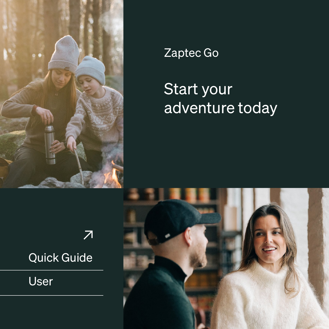

## Zaptec Go

## Start your adventure today



## Quick Guide

User

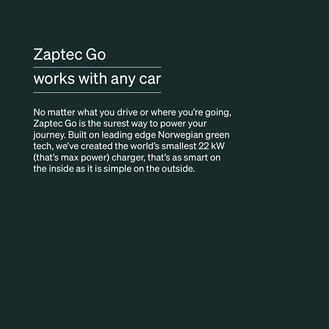# Zaptec Go works with any car

No matter what you drive or where you're going, Zaptec Go is the surest way to power your journey. Built on leading edge Norwegian green tech, we've created the world's smallest 22 kW (that's max power) charger, that's as smart on the inside as it is simple on the outside.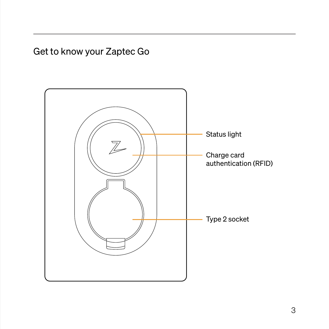Get to know your Zaptec Go

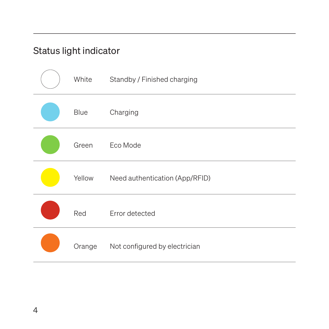### Status light indicator

| White  | Standby / Finished charging    |
|--------|--------------------------------|
| Blue   | Charging                       |
| Green  | Eco Mode                       |
| Yellow | Need authentication (App/RFID) |
| Red    | Error detected                 |
| Orange | Not configured by electrician  |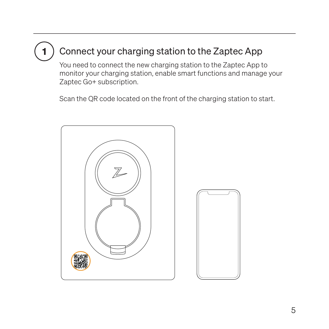#### Connect your charging station to the Zaptec App 1

You need to connect the new charging station to the Zaptec App to monitor your charging station, enable smart functions and manage your Zaptec Go+ subscription.

Scan the QR code located on the front of the charging station to start.



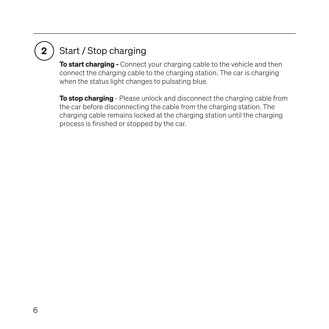# 2

### Start / Stop charging

**To start charging -** Connect your charging cable to the vehicle and then connect the charging cable to the charging station. The car is charging when the status light changes to pulsating blue.

To stop charging - Please unlock and disconnect the charging cable from the car before disconnecting the cable from the charging station. The charging cable remains locked at the charging station until the charging process is finished or stopped by the car.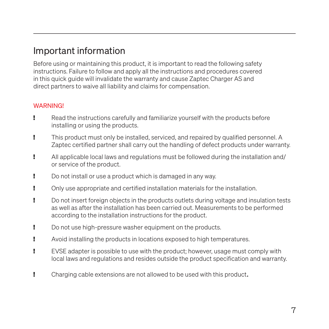### Important information

Before using or maintaining this product, it is important to read the following safety instructions. Failure to follow and apply all the instructions and procedures covered in this quick guide will invalidate the warranty and cause Zaptec Charger AS and direct partners to waive all liability and claims for compensation.

#### WARNING!

- ! Read the instructions carefully and familiarize yourself with the products before installing or using the products.
- ! This product must only be installed, serviced, and repaired by qualified personnel. A Zaptec certified partner shall carry out the handling of defect products under warranty.
- ! All applicable local laws and regulations must be followed during the installation and/ or service of the product.
- ! Do not install or use a product which is damaged in any way.
- ! Only use appropriate and certified installation materials for the installation.
- ! Do not insert foreign objects in the products outlets during voltage and insulation tests as well as after the installation has been carried out. Measurements to be performed according to the installation instructions for the product.
- ! Do not use high-pressure washer equipment on the products.
- ! Avoid installing the products in locations exposed to high temperatures.
- ! EVSE adapter is possible to use with the product; however, usage must comply with local laws and regulations and resides outside the product specification and warranty.
- ! Charging cable extensions are not allowed to be used with this product.